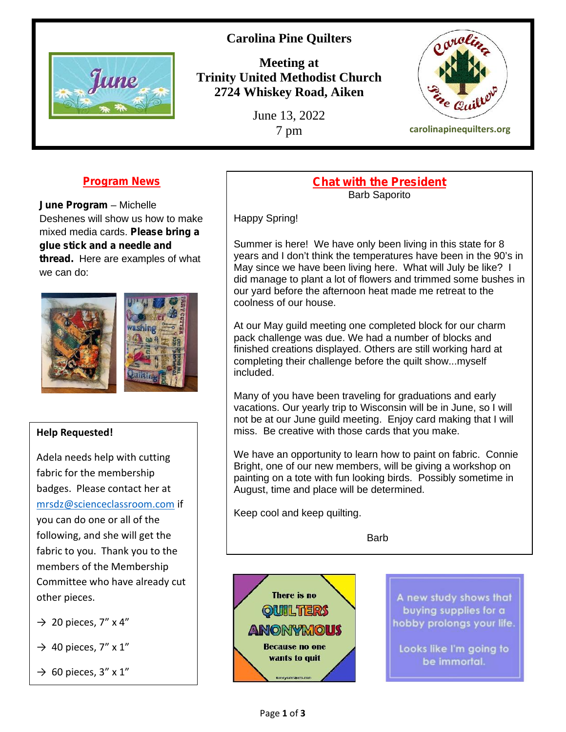# **Carolina Pine Quilters**



**Meeting at Trinity United Methodist Church 2724 Whiskey Road, Aiken**

June 13, 2022



**Program News**

**June Program** – Michelle Deshenes will show us how to make mixed media cards. **Please bring a glue stick and a needle and thread.** Here are examples of what we can do:





### **Help Requested!**

Adela needs help with cutting fabric for the membership badges. Please contact her at mrsdz@scienceclassroom.com if you can do one or all of the following, and she will get the fabric to you. Thank you to the members of the Membership Committee who have already cut other pieces.

 $\rightarrow$  20 pieces, 7" x 4"

 $\rightarrow$  40 pieces, 7" x 1"

 $\rightarrow$  60 pieces, 3" x 1"

#### **Chat with the President** Barb Saporito

Happy Spring!

Summer is here! We have only been living in this state for 8 years and I don't think the temperatures have been in the 90's in May since we have been living here. What will July be like? I did manage to plant a lot of flowers and trimmed some bushes in our yard before the afternoon heat made me retreat to the coolness of our house.

At our May guild meeting one completed block for our charm pack challenge was due. We had a number of blocks and finished creations displayed. Others are still working hard at completing their challenge before the quilt show...myself included.

Many of you have been traveling for graduations and early vacations. Our yearly trip to Wisconsin will be in June, so I will not be at our June guild meeting. Enjoy card making that I will miss. Be creative with those cards that you make.

We have an opportunity to learn how to paint on fabric. Connie Bright, one of our new members, will be giving a workshop on painting on a tote with fun looking birds. Possibly sometime in August, time and place will be determined.

Keep cool and keep quilting.

**Barb** 



A new study shows that buying supplies for a hobby prolongs your life.

Looks like I'm going to be immortal.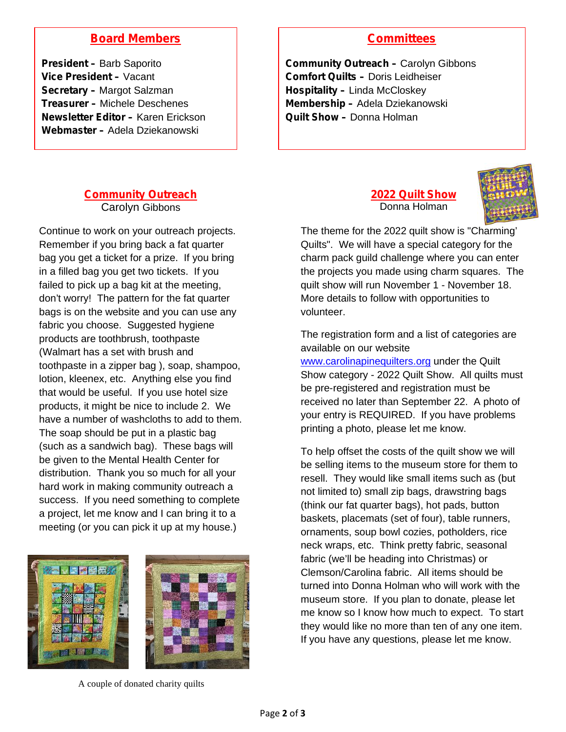# **Board Members**

**President –** Barb Saporito **Vice President –** Vacant **Secretary –** Margot Salzman **Treasurer –** Michele Deschenes **Newsletter Editor –** Karen Erickson **Webmaster –** Adela Dziekanowski

## **Committees**

**Community Outreach –** Carolyn Gibbons **Comfort Quilts –** Doris Leidheiser **Hospitality –** Linda McCloskey **Membership –** Adela Dziekanowski **Quilt Show –** Donna Holman

#### **Community Outreach** Carolyn Gibbons

Continue to work on your outreach projects. Remember if you bring back a fat quarter bag you get a ticket for a prize. If you bring in a filled bag you get two tickets. If you failed to pick up a bag kit at the meeting, don't worry! The pattern for the fat quarter bags is on the website and you can use any fabric you choose. Suggested hygiene products are toothbrush, toothpaste (Walmart has a set with brush and toothpaste in a zipper bag ), soap, shampoo, lotion, kleenex, etc. Anything else you find that would be useful. If you use hotel size products, it might be nice to include 2. We have a number of washcloths to add to them. The soap should be put in a plastic bag (such as a sandwich bag). These bags will be given to the Mental Health Center for distribution. Thank you so much for all your hard work in making community outreach a success. If you need something to complete a project, let me know and I can bring it to a meeting (or you can pick it up at my house.)





A couple of donated charity quilts

**2022 Quilt Show** Donna Holman



The theme for the 2022 quilt show is "Charming' Quilts". We will have a special category for the charm pack guild challenge where you can enter the projects you made using charm squares. The quilt show will run November 1 - November 18. More details to follow with opportunities to volunteer.

The registration form and a list of categories are available on our website

www.carolinapinequilters.org under the Quilt Show category - 2022 Quilt Show. All quilts must be pre-registered and registration must be received no later than September 22. A photo of your entry is REQUIRED. If you have problems printing a photo, please let me know.

To help offset the costs of the quilt show we will be selling items to the museum store for them to resell. They would like small items such as (but not limited to) small zip bags, drawstring bags (think our fat quarter bags), hot pads, button baskets, placemats (set of four), table runners, ornaments, soup bowl cozies, potholders, rice neck wraps, etc. Think pretty fabric, seasonal fabric (we'll be heading into Christmas) or Clemson/Carolina fabric. All items should be turned into Donna Holman who will work with the museum store. If you plan to donate, please let me know so I know how much to expect. To start they would like no more than ten of any one item. If you have any questions, please let me know.